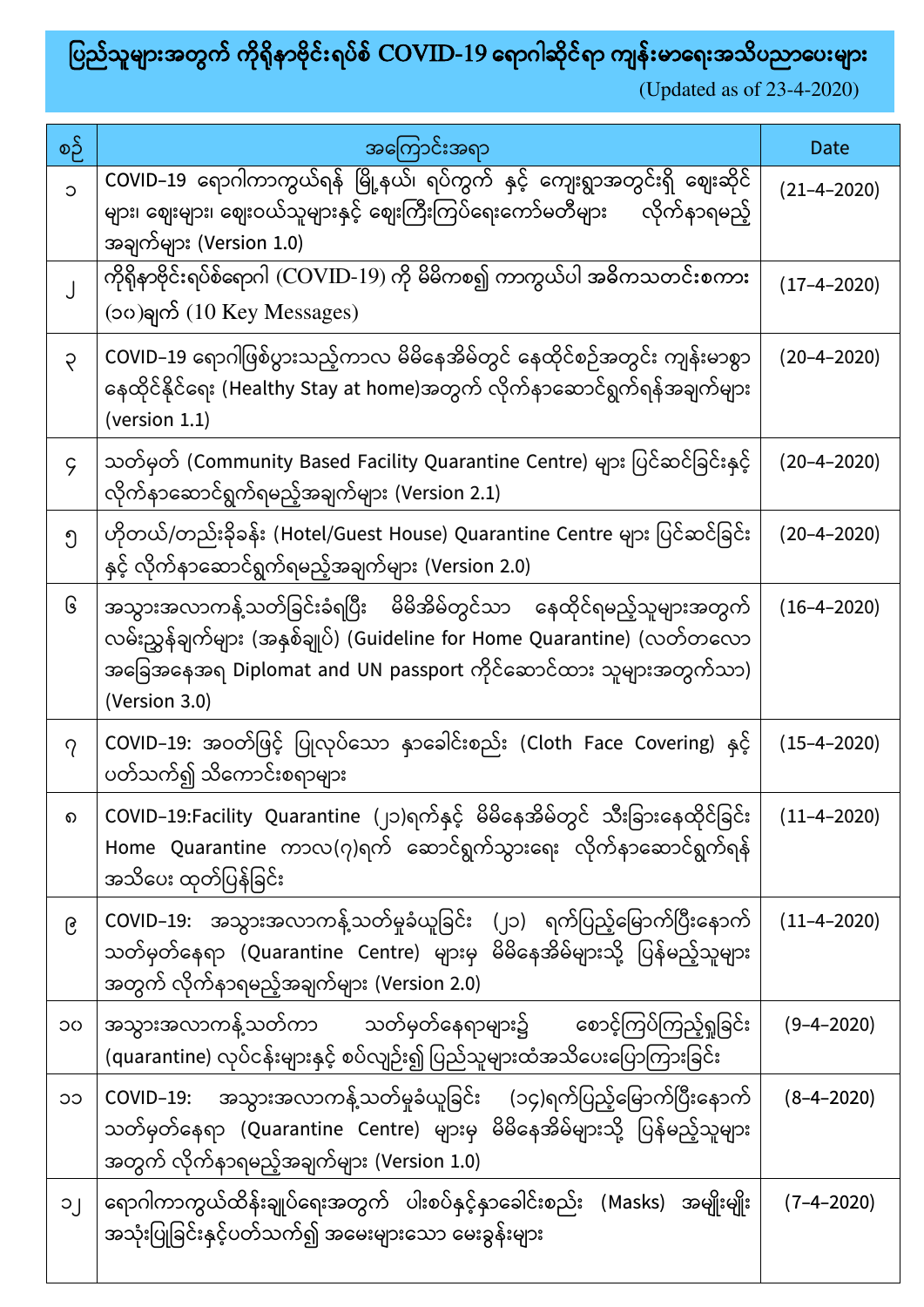## ပြည်သူများအတွက် ကိုရိုနာဗိုင်းရပ်စ် COVID-19 ရောဂါဆိုင်ရာ ကျန်းမာရေးအသိပညာပေးများ

(Updated as of 23-4-2020)

| စဉ်         | အကြောင်းအရာ                                                                                                                                                                                                                       | Date              |
|-------------|-----------------------------------------------------------------------------------------------------------------------------------------------------------------------------------------------------------------------------------|-------------------|
| $\circ$     | COVID–19 ရောဂါကာကွယ်ရန် မြို့နယ်၊ ရပ်ကွက် နှင့် ကျေးရွာအတွင်းရှိ ဈေးဆိုင်<br>များ၊ ဈေးများ၊ ဈေးဝယ်သူများနှင့် ဈေးကြီးကြပ်ရေးကော်မတီများ လိုက်နာရမည့်<br>အချက်များ (Version 1.0)                                                   | $(21 - 4 - 2020)$ |
|             | ကိုရိုနာဗိုင်းရပ်စ်ရောဂါ (COVID-19) ကို မိမိကစ၍ ကာကွယ်ပါ အဓိကသတင်းစကား<br>(၁၀)ချက် $(10 \text{ Key Message})$                                                                                                                     | $(17 - 4 - 2020)$ |
| $\varsigma$ | COVID–19 ရောဂါဖြစ်ပွားသည့်ကာလ မိမိနေအိမ်တွင် နေထိုင်စဉ်အတွင်း ကျန်းမာစွာ<br>နေထိုင်နိုင်ရေး (Healthy Stay at home)အတွက် လိုက်နာဆောင်ရွက်ရန်အချက်များ<br>(version 1.1)                                                             | $(20 - 4 - 2020)$ |
| $\varsigma$ | သတ်မှတ် (Community Based Facility Quarantine Centre) များ ပြင်ဆင်ခြင်းနှင့်<br>လိုက်နာဆောင်ရွက်ရမည့်အချက်များ (Version 2.1)                                                                                                       | $(20 - 4 - 2020)$ |
| ၅           | ဟိုတယ်/တည်းခိုခန်း (Hotel/Guest House) Quarantine Centre များ ပြင်ဆင်ခြင်း<br>နှင့် လိုက်နာဆောင်ရွက်ရမည့်အချက်များ (Version 2.0)                                                                                                  | $(20 - 4 - 2020)$ |
| િ           | အသွားအလာကန့်သတ်ခြင်းခံရပြီး မိမိအိမ်တွင်သာ နေထိုင်ရမည့်သူများအတွက်<br>လမ်းညွှန်ချက်များ (အနှစ်ချုပ်) (Guideline for Home Quarantine) (လတ်တလော<br>အခြေအနေအရ Diplomat and UN passport ကိုင်ဆောင်ထား သူများအတွက်သာ)<br>(Version 3.0) | $(16-4-2020)$     |
| $\gamma$    | COVID–19: အဝတ်ဖြင့် ပြုလုပ်သော နာခေါင်းစည်း (Cloth Face Covering) နှင့်<br>ပတ်သက်၍ သိကောင်းစရာများ                                                                                                                                | $(15 - 4 - 2020)$ |
| െ           | COVID–19:Facility Quarantine (၂၁)ရက်နှင့် မိမိနေအိမ်တွင် သီးခြားနေထိုင်ခြင်း<br>Home Quarantine ကာလ(၇)ရက် ဆောင်ရွက်သွားရေး လိုက်နာဆောင်ရွက်ရန်<br>အသိပေး ထုတ်ပြန်ခြင်း                                                            | $(11-4-2020)$     |
| ၉           | COVID–19: အသွားအလာကန့်သတ်မှုခံယူခြင်း (၂၁) ရက်ပြည့်မြောက်ပြီးနောက်<br>သတ်မှတ်နေရာ (Quarantine Centre) များမှ မိမိနေအိမ်များသို့ ပြန်မည့်သူများ<br>အတွက် လိုက်နာရမည့်အချက်များ (Version 2.0)                                       | $(11 - 4 - 2020)$ |
| OC          | အသွားအလာကန့်သတ်ကာ သတ်မှတ်နေရာများ၌ စောင့်ကြပ်ကြည့်ရှုခြင်း<br>(quarantine) လုပ်ငန်းများနှင့် စပ်လျဉ်း၍ ပြည်သူများထံအသိပေးပြောကြားခြင်း                                                                                            | $(9 - 4 - 2020)$  |
| CC          | COVID–19: အသွားအလာကန့်သတ်မှုခံယူခြင်း (၁၄)ရက်ပြည့်မြောက်ပြီးနောက်<br>သတ်မှတ်နေရာ (Quarantine Centre) များမှ မိမိနေအိမ်များသို့ ပြန်မည့်သူများ<br>အတွက် လိုက်နာရမည့်အချက်များ (Version 1.0)                                        | $(8-4-2020)$      |
| $\cup$      | ရောဂါကာကွယ်ထိန်းချုပ်ရေးအတွက် ပါးစပ်နှင့်နှာခေါင်းစည်း (Masks) အမျိုးမျိုး<br>အသုံးပြုခြင်းနှင့်ပတ်သက်၍ အမေးများသော မေးခွန်းများ                                                                                                  | $(7-4-2020)$      |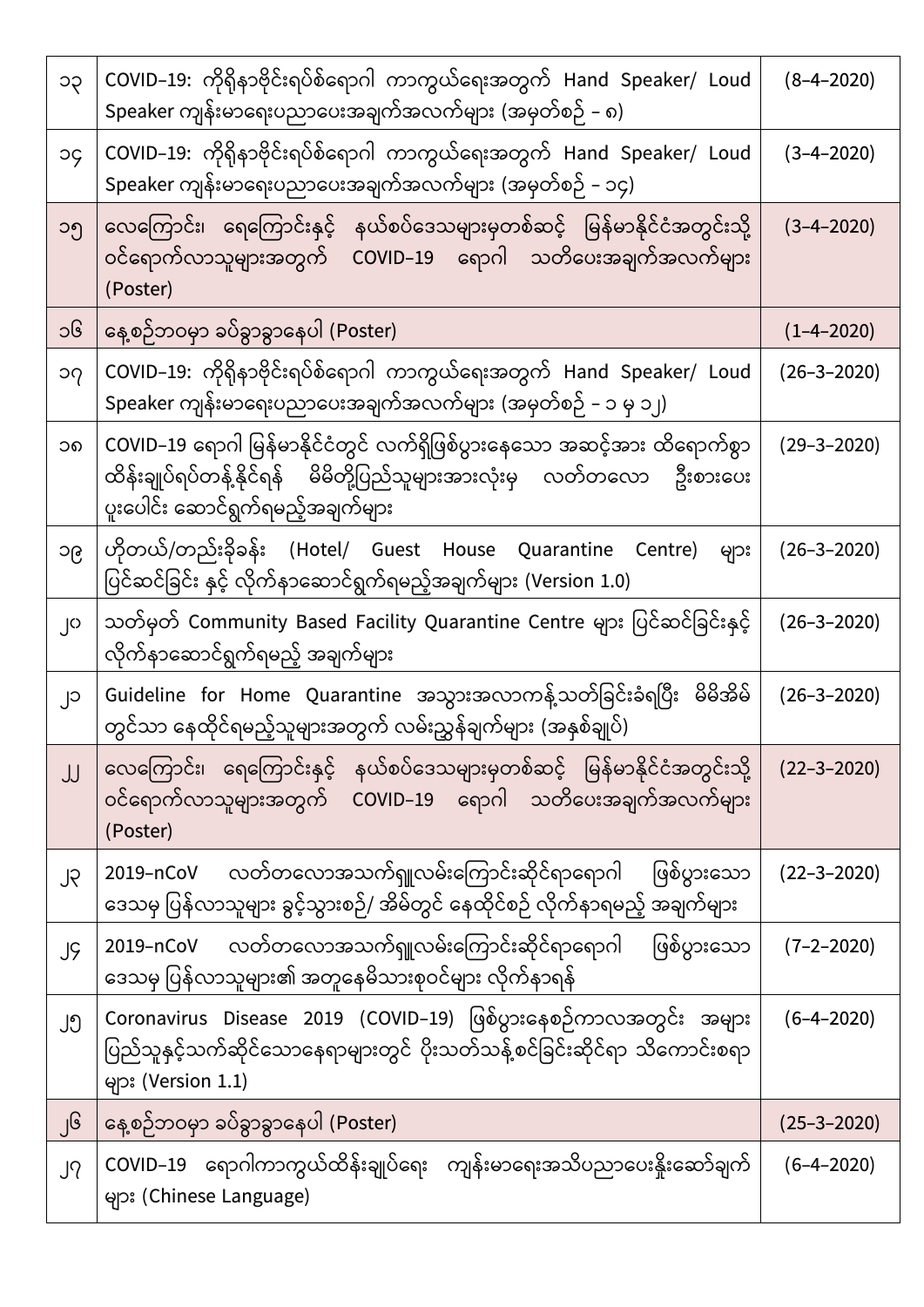| ၁၃        | COVID–19: ကိုရိုနာဗိုင်းရပ်စ်ရောဂါ ကာကွယ်ရေးအတွက် Hand Speaker/ Loud<br>Speaker ကျန်းမာရေးပညာပေးအချက်အလက်များ (အမှတ်စဉ် – ၈)                                                            | $(8 - 4 - 2020)$  |
|-----------|-----------------------------------------------------------------------------------------------------------------------------------------------------------------------------------------|-------------------|
| рc        | COVID–19: ကိုရှိနာဗိုင်းရပ်စ်ရောဂါ ကာကွယ်ရေးအတွက် Hand Speaker/ Loud<br>Speaker ကျန်းမာရေးပညာပေးအချက်အလက်များ (အမှတ်စဉ် – ၁၄)                                                           | $(3-4-2020)$      |
| ၁၅        | လေကြောင်း၊ ရေကြောင်းနှင့် နယ်စပ်ဒေသများမှတစ်ဆင့် မြန်မာနိုင်ငံအတွင်းသို့<br>ဝင်ရောက်လာသူများအတွက် COVID–19 ရောဂါ သတိပေးအချက်အလက်များ<br>(Poster)                                        | $(3-4-2020)$      |
| ၁၆        | နေ့စဉ်ဘဝမှာ ခပ်ခွာခွာနေပါ (Poster)                                                                                                                                                      | $(1 - 4 - 2020)$  |
| $\Omega$  | COVID–19: ကိုရိုနာဗိုင်းရပ်စ်ရောဂါ ကာကွယ်ရေးအတွက် Hand Speaker/ Loud<br>Speaker ကျန်းမာရေးပညာပေးအချက်အလက်များ (အမှတ်စဉ် – ၁ မှ ၁၂)                                                      | $(26 - 3 - 2020)$ |
| ၁၈        | COVID–19 ရောဂါ မြန်မာနိုင်ငံတွင် လက်ရှိဖြစ်ပွားနေသော အဆင့်အား ထိရောက်စွာ<br>ထိန်းချုပ်ရပ်တန့်နိုင်ရန် မိမိတို့ပြည်သူများအားလုံးမှ လတ်တလော ဦးစားပေး<br>ပူးပေါင်း ဆောင်ရွက်ရမည့်အချက်များ | $(29 - 3 - 2020)$ |
| ၁၉        | ဟိုတယ်/တည်းခိုခန်း (Hotel/ Guest House Quarantine Centre) များ<br>ပြင်ဆင်ခြင်း နှင့် လိုက်နာဆောင်ရွက်ရမည့်အချက်များ (Version 1.0)                                                       | $(26 - 3 - 2020)$ |
| O         | သတ်မှတ် Community Based Facility Quarantine Centre များ ပြင်ဆင်ခြင်းနှင့်<br>လိုက်နာဆောင်ရွက်ရမည့် အချက်များ                                                                            | $(26 - 3 - 2020)$ |
| ၂၁        | Guideline for Home Quarantine အသွားအလာကနဲ့သတ်ခြင်းခံရပြီး မိမိအိမ်<br>တွင်သာ နေထိုင်ရမည့်သူများအတွက် လမ်းညွှန်ချက်များ (အနှစ်ချုပ်)                                                     | $(26 - 3 - 2020)$ |
| JJ        | လေကြောင်း၊ ရေကြောင်းနှင့် နယ်စပ်ဒေသများမှတစ်ဆင့် မြန်မာနိုင်ငံအတွင်းသို့<br>ဝင်ရောက်လာသူများအတွက် COVID–19 ရောဂါ သတိပေးအချက်အလက်များ<br>(Poster)                                        | $(22 - 3 - 2020)$ |
| <b>SL</b> | လတ်တလောအသက်ရှူလမ်းကြောင်းဆိုင်ရာရောဂါ<br>ဖြစ်ပွားသော<br>2019-nCoV<br>ဒေသမှ ပြန်လာသူများ ခွင့်သွားစဉ်/ အိမ်တွင် နေထိုင်စဉ် လိုက်နာရမည့် အချက်များ                                        | $(22 - 3 - 2020)$ |
| JĢ        | လတ်တလောအသက်ရျူလမ်းကြောင်းဆိုင်ရာရောဂါ<br>ဖြစ်ပွားသော<br>2019-nCoV<br>ဒေသမှ ပြန်လာသူများ၏ အတူနေမိသားစုဝင်များ လိုက်နာရန်                                                                 | $(7 - 2 - 2020)$  |
| ၂၅        | Coronavirus Disease 2019 (COVID–19) ဖြစ်ပွားနေစဉ်ကာလအတွင်း အများ<br>ပြည်သူနှင့်သက်ဆိုင်သောနေရာများတွင် ပိုးသတ်သန့်စင်ခြင်းဆိုင်ရာ သိကောင်းစရာ<br>များ (Version 1.1)                     | $(6 - 4 - 2020)$  |
| ၂၆        | နေ့စဉ်ဘဝမှာ ခပ်ခွာခွာနေပါ (Poster)                                                                                                                                                      | $(25 - 3 - 2020)$ |
| J?        | COVID–19 ရောဂါကာကွယ်ထိန်းချုပ်ရေး ကျန်းမာရေးအသိပညာပေးနိူးဆော်ချက်<br>များ (Chinese Language)                                                                                            | $(6 - 4 - 2020)$  |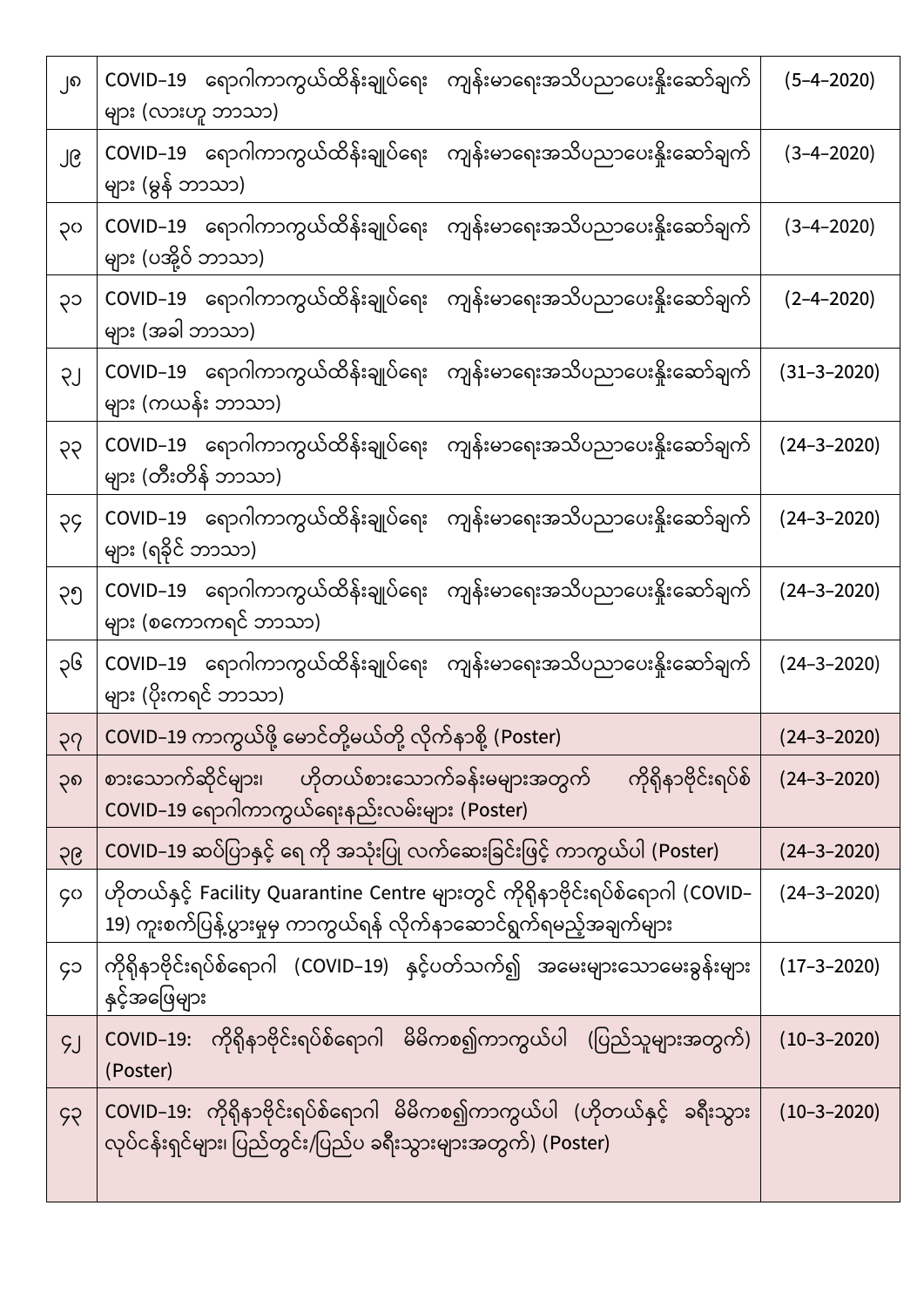| ၂၈        | COVID–19 ရောဂါကာကွယ်ထိန်းချုပ်ရေး ကျန်းမာရေးအသိပညာပေးနိုးဆော်ချက်<br>များ (လားဟူ ဘာသာ)                                                                | $(5 - 4 - 2020)$  |
|-----------|-------------------------------------------------------------------------------------------------------------------------------------------------------|-------------------|
| ၂၉        | COVID–19 ရောဂါကာကွယ်ထိန်းချုပ်ရေး ကျန်းမာရေးအသိပညာပေးနိူးဆော်ချက်<br>များ (မွန် ဘာသာ)                                                                 | $(3-4-2020)$      |
| OÇ        | COVID–19 ရောဂါကာကွယ်ထိန်းချုပ်ရေး ကျန်းမာရေးအသိပညာပေးနိူးဆော်ချက်<br>များ (ပအို့ဝ် ဘာသာ)                                                              | $(3-4-2020)$      |
| ၃၁        | COVID–19 ရောဂါကာကွယ်ထိန်းချုပ်ရေး ကျန်းမာရေးအသိပညာပေးနိူးဆော်ချက်<br>များ (အခါ ဘာသာ)                                                                  | $(2 - 4 - 2020)$  |
| LÇ        | COVID–19 ရောဂါကာကွယ်ထိန်းချုပ်ရေး ကျန်းမာရေးအသိပညာပေးနိုးဆော်ချက်<br>များ (ကယန်း ဘာသာ)                                                                | $(31 - 3 - 2020)$ |
| 99        | COVID–19 ရောဂါကာကွယ်ထိန်းချုပ်ရေး ကျန်းမာရေးအသိပညာပေးနှိုးဆော်ချက်<br>များ (တီးတိန် ဘာသာ)                                                             | $(24 - 3 - 2020)$ |
| <b>SS</b> | COVID–19 ရောဂါကာကွယ်ထိန်းချုပ်ရေး ကျန်းမာရေးအသိပညာပေးနိူးဆော်ချက်<br>များ (ရခိုင် ဘာသာ)                                                               | $(24 - 3 - 2020)$ |
| ၃၅        | COVID–19 ရောဂါကာကွယ်ထိန်းချုပ်ရေး ကျန်းမာရေးအသိပညာပေးနိူးဆော်ချက်<br>များ (စကောကရင် ဘာသာ)                                                             | $(24 - 3 - 2020)$ |
| ၃၆        | COVID–19 ရောဂါကာကွယ်ထိန်းချုပ်ရေး ကျန်းမာရေးအသိပညာပေးနိူးဆော်ချက်<br>များ (ပိုးကရင် ဘာသာ)                                                             | $(24 - 3 - 2020)$ |
| 99        | COVID–19 ကာကွယ်ဖို့ မောင်တို့မယ်တို့ လိုက်နာစို့ (Poster)                                                                                             | $(24 - 3 - 2020)$ |
| ၃၈        | စားသောက်ဆိုင်များ၊ ဟိုတယ်စားသောက်ခန်းမများအတွက်<br>ကိုရှိနာဗိုင်းရပ်စ်<br>COVID–19 ရောဂါကာကွယ်ရေးနည်းလမ်းများ (Poster)                                | $(24 - 3 - 2020)$ |
| 56        | COVID–19 ဆပ်ပြာနှင့် ရေ ကို အသုံးပြု လက်ဆေးခြင်းဖြင့် ကာကွယ်ပါ (Poster)                                                                               | $(24 - 3 - 2020)$ |
| <b>ço</b> | ဟိုတယ်နှင့် Facility Quarantine Centre များတွင် ကိုရှိနာဗိုင်းရပ်စ်ရောဂါ (COVID–<br>19) ကူးစက်ပြန့်ပွားမှုမှ ကာကွယ်ရန် လိုက်နာဆောင်ရွက်ရမည့်အချက်များ | $(24 - 3 - 2020)$ |
| ၄၁        | ကိုရိုနာဗိုင်းရပ်စ်ရောဂါ (COVID–19) နှင့်ပတ်သက်၍ အမေးများသောမေးခွန်းများ<br>နှင့်အဖြေများ                                                             | $(17 - 3 - 2020)$ |
| SJ        | COVID–19: ကိုရိုနာဗိုင်းရပ်စ်ရောဂါ မိမိကစ၍ကာကွယ်ပါ (ပြည်သူများအတွက်)<br>(Poster)                                                                      | $(10 - 3 - 2020)$ |
| 99        | COVID–19: ကိုရိုနာဗိုင်းရပ်စ်ရောဂါ မိမိကစ၍ကာကွယ်ပါ (ဟိုတယ်နှင့် ခရီးသွား<br>လုပ်ငန်းရှင်များ၊ ပြည်တွင်း/ပြည်ပ ခရီးသွားများအတွက်) (Poster)             | $(10 - 3 - 2020)$ |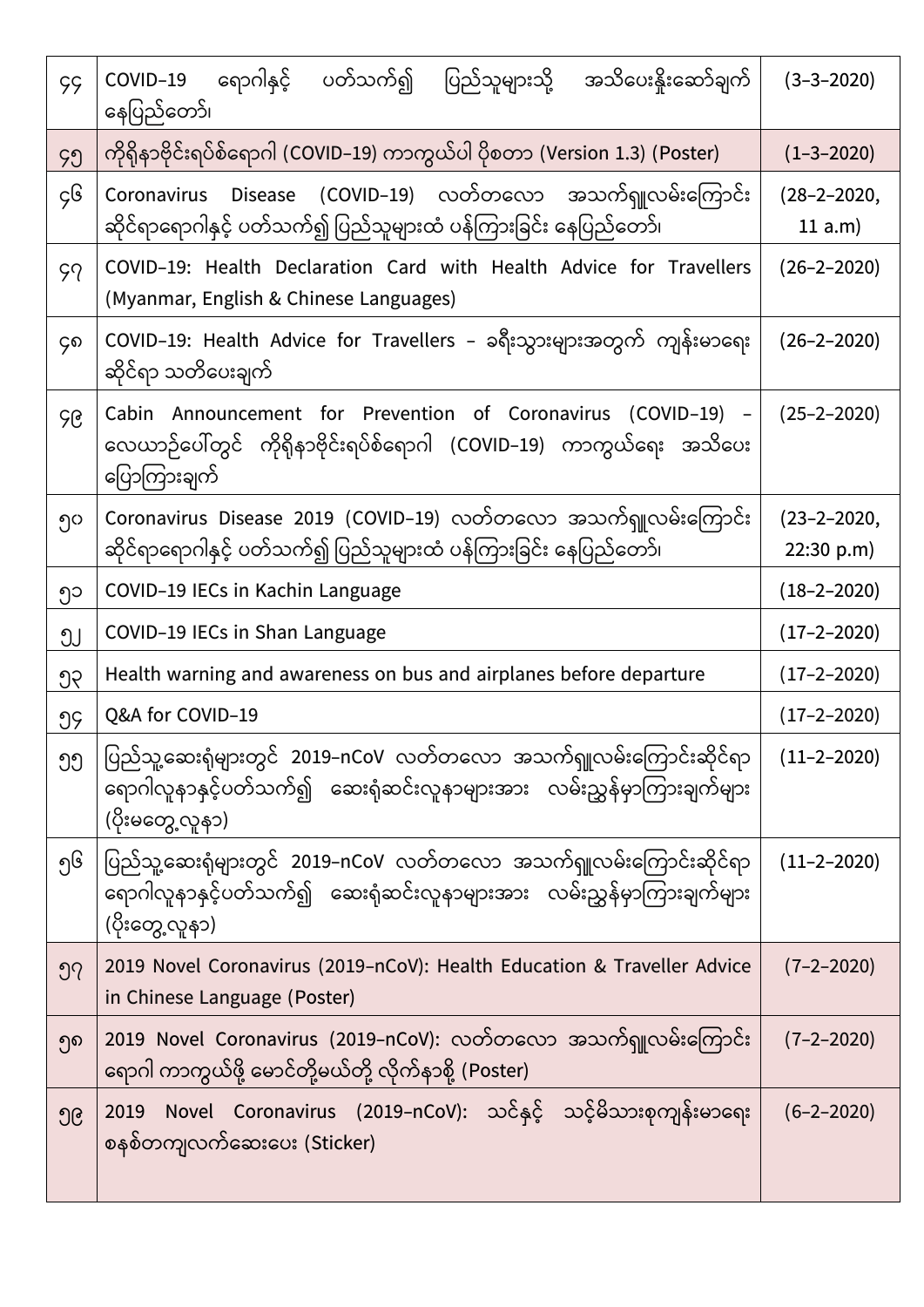| <b>çç</b> | COVID–19 ရောဂါနှင့် ပတ်သက်၍ ပြည်သူများသို့ အသိပေးနိုးဆော်ချက်<br>နေပြည်တော်၊                                                                                 | $(3 - 3 - 2020)$                |
|-----------|--------------------------------------------------------------------------------------------------------------------------------------------------------------|---------------------------------|
| ၄၅        | ကိုရိုနာဗိုင်းရပ်စ်ရောဂါ (COVID–19) ကာကွယ်ပါ ပိုစတာ (Version 1.3) (Poster)                                                                                   | $(1 - 3 - 2020)$                |
| ç၆        | Disease (COVID–19) လတ်တလော အသက်ရူလမ်းကြောင်း<br>Coronavirus<br>ဆိုင်ရာရောဂါနှင့် ပတ်သက်၍ ပြည်သူများထံ ပန်ကြားခြင်း နေပြည်တော်၊                               | $(28 - 2 - 2020,$<br>11 a.m)    |
| 59        | COVID-19: Health Declaration Card with Health Advice for Travellers<br>(Myanmar, English & Chinese Languages)                                                | $(26 - 2 - 2020)$               |
| ၄၈        | COVID–19: Health Advice for Travellers – ခရီးသွားများအတွက် ကျန်းမာရေး<br>ဆိုင်ရာ သတိပေးချက်                                                                  | $(26 - 2 - 2020)$               |
| ၄၉        | Cabin Announcement for Prevention of Coronavirus (COVID-19) -<br>လေယာဉ်ပေါ်တွင် ကိုရှိနာဗိုင်းရပ်စ်ရောဂါ (COVID–19) ကာကွယ်ရေး အသိပေး<br>ပြောကြားချက်         | $(25 - 2 - 2020)$               |
| ၅၀        | Coronavirus Disease 2019 (COVID-19) လတ်တလော အသက်ရှူလမ်းကြောင်း<br>ဆိုင်ရာရောဂါနှင့် ပတ်သက်၍ ပြည်သူများထံ ပန်ကြားခြင်း နေပြည်တော်၊                            | $(23 - 2 - 2020,$<br>22:30 p.m) |
| ၅၁        | COVID-19 IECs in Kachin Language                                                                                                                             | $(18 - 2 - 2020)$               |
| ၅၂        | COVID-19 IECs in Shan Language                                                                                                                               | $(17 - 2 - 2020)$               |
| ၅၃        | Health warning and awareness on bus and airplanes before departure                                                                                           | $(17 - 2 - 2020)$               |
| ၅၄        | Q&A for COVID-19                                                                                                                                             | $(17 - 2 - 2020)$               |
| ၅၅        | ပြည်သူ့ဆေးရုံများတွင် 2019–nCoV လတ်တလော အသက်ရှူလမ်းကြောင်းဆိုင်ရာ<br>ရောဂါလူနာနှင့်ပတ်သက်၍ ဆေးရုံဆင်းလူနာများအား လမ်းညွှန်မှာကြားချက်များ<br>(ပိုးမတွေ့လူန၁) | $(11 - 2 - 2020)$               |
| ၅၆        | ပြည်သူ့ဆေးရုံများတွင် 2019–nCoV လတ်တလော အသက်ရှူလမ်းကြောင်းဆိုင်ရာ<br>ရောဂါလူနာနှင့်ပတ်သက်၍ ဆေးရုံဆင်းလူနာများအား လမ်းညွှန်မှာကြားချက်များ<br>(ပိုးတွေ့လူန၁)  | $(11 - 2 - 2020)$               |
| ၅၇        | 2019 Novel Coronavirus (2019-nCoV): Health Education & Traveller Advice<br>in Chinese Language (Poster)                                                      | $(7 - 2 - 2020)$                |
| ၅၈        | 2019 Novel Coronavirus (2019–nCoV): လတ်တလော အသက်ရှူလမ်းကြောင်း<br>ရောဂါ ကာကွယ်ဖို့ မောင်တို့မယ်တို့ လိုက်နာစို့ (Poster)                                     | $(7 - 2 - 2020)$                |
| ၅၉        | Novel Coronavirus (2019–nCoV): သင်နှင့် သင့်မိသားစုကျန်းမာရေး<br>2019<br>စနစ်တကျလက်ဆေးပေး (Sticker)                                                          | $(6 - 2 - 2020)$                |